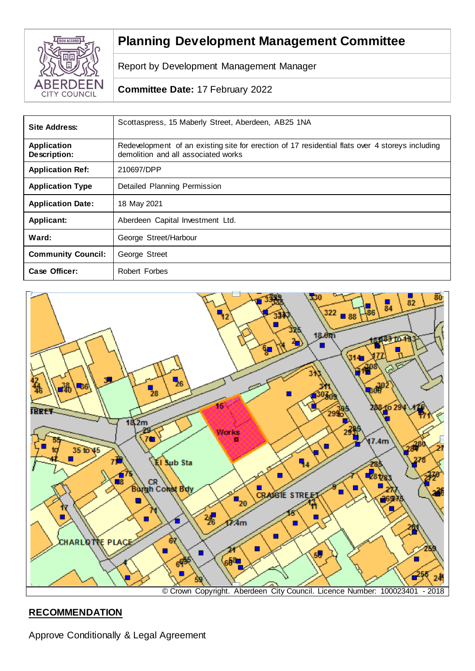

# **Planning Development Management Committee**

Report by Development Management Manager

## **Committee Date:** 17 February 2022

| Site Address:                      | Scottaspress, 15 Maberly Street, Aberdeen, AB25 1NA                                                                                    |
|------------------------------------|----------------------------------------------------------------------------------------------------------------------------------------|
| <b>Application</b><br>Description: | Redevelopment of an existing site for erection of 17 residential flats over 4 storeys including<br>demolition and all associated works |
| <b>Application Ref:</b>            | 210697/DPP                                                                                                                             |
| <b>Application Type</b>            | Detailed Planning Permission                                                                                                           |
| <b>Application Date:</b>           | 18 May 2021                                                                                                                            |
| Applicant:                         | Aberdeen Capital Investment Ltd.                                                                                                       |
| Ward:                              | George Street/Harbour                                                                                                                  |
| <b>Community Council:</b>          | George Street                                                                                                                          |
| Case Officer:                      | Robert Forbes                                                                                                                          |



# **RECOMMENDATION**

Approve Conditionally & Legal Agreement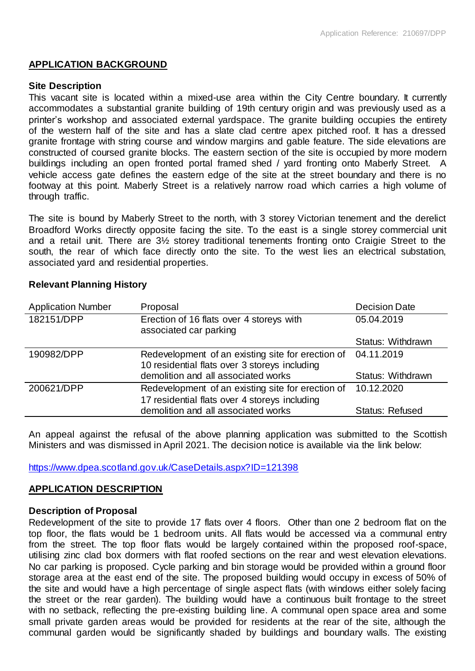## **APPLICATION BACKGROUND**

#### **Site Description**

This vacant site is located within a mixed-use area within the City Centre boundary. It currently accommodates a substantial granite building of 19th century origin and was previously used as a printer's workshop and associated external yardspace. The granite building occupies the entirety of the western half of the site and has a slate clad centre apex pitched roof. It has a dressed granite frontage with string course and window margins and gable feature. The side elevations are constructed of coursed granite blocks. The eastern section of the site is occupied by more modern buildings including an open fronted portal framed shed / yard fronting onto Maberly Street. A vehicle access gate defines the eastern edge of the site at the street boundary and there is no footway at this point. Maberly Street is a relatively narrow road which carries a high volume of through traffic.

The site is bound by Maberly Street to the north, with 3 storey Victorian tenement and the derelict Broadford Works directly opposite facing the site. To the east is a single storey commercial unit and a retail unit. There are 3½ storey traditional tenements fronting onto Craigie Street to the south, the rear of which face directly onto the site. To the west lies an electrical substation, associated yard and residential properties.

| <b>Application Number</b> | Proposal                                                                                           | <b>Decision Date</b>   |
|---------------------------|----------------------------------------------------------------------------------------------------|------------------------|
| 182151/DPP                | Erection of 16 flats over 4 storeys with<br>associated car parking                                 | 05.04.2019             |
|                           |                                                                                                    | Status: Withdrawn      |
| 190982/DPP                | Redevelopment of an existing site for erection of<br>10 residential flats over 3 storeys including | 04.11.2019             |
|                           | demolition and all associated works                                                                | Status: Withdrawn      |
| 200621/DPP                | Redevelopment of an existing site for erection of<br>17 residential flats over 4 storeys including | 10.12.2020             |
|                           | demolition and all associated works                                                                | <b>Status: Refused</b> |

#### **Relevant Planning History**

An appeal against the refusal of the above planning application was submitted to the Scottish Ministers and was dismissed in April 2021. The decision notice is available via the link below:

<https://www.dpea.scotland.gov.uk/CaseDetails.aspx?ID=121398>

## **APPLICATION DESCRIPTION**

#### **Description of Proposal**

Redevelopment of the site to provide 17 flats over 4 floors. Other than one 2 bedroom flat on the top floor, the flats would be 1 bedroom units. All flats would be accessed via a communal entry from the street. The top floor flats would be largely contained within the proposed roof-space, utilising zinc clad box dormers with flat roofed sections on the rear and west elevation elevations. No car parking is proposed. Cycle parking and bin storage would be provided within a ground floor storage area at the east end of the site. The proposed building would occupy in excess of 50% of the site and would have a high percentage of single aspect flats (with windows either solely facing the street or the rear garden). The building would have a continuous built frontage to the street with no setback, reflecting the pre-existing building line. A communal open space area and some small private garden areas would be provided for residents at the rear of the site, although the communal garden would be significantly shaded by buildings and boundary walls. The existing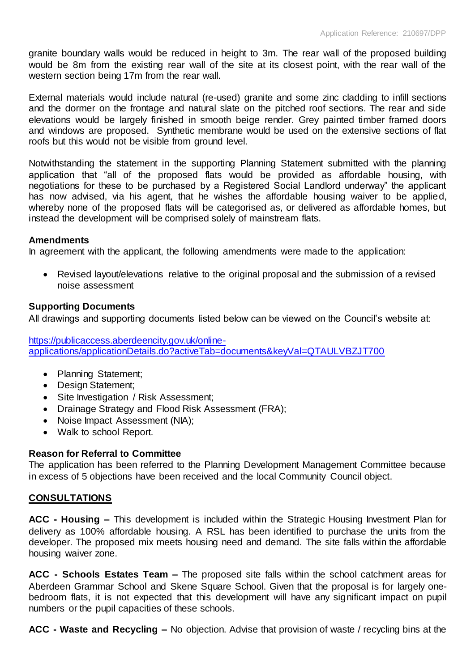granite boundary walls would be reduced in height to 3m. The rear wall of the proposed building would be 8m from the existing rear wall of the site at its closest point, with the rear wall of the western section being 17m from the rear wall.

External materials would include natural (re-used) granite and some zinc cladding to infill sections and the dormer on the frontage and natural slate on the pitched roof sections. The rear and side elevations would be largely finished in smooth beige render. Grey painted timber framed doors and windows are proposed. Synthetic membrane would be used on the extensive sections of flat roofs but this would not be visible from ground level.

Notwithstanding the statement in the supporting Planning Statement submitted with the planning application that "all of the proposed flats would be provided as affordable housing, with negotiations for these to be purchased by a Registered Social Landlord underway" the applicant has now advised, via his agent, that he wishes the affordable housing waiver to be applied, whereby none of the proposed flats will be categorised as, or delivered as affordable homes, but instead the development will be comprised solely of mainstream flats.

## **Amendments**

In agreement with the applicant, the following amendments were made to the application:

 Revised layout/elevations relative to the original proposal and the submission of a revised noise assessment

## **Supporting Documents**

All drawings and supporting documents listed below can be viewed on the Council's website at:

[https://publicaccess.aberdeencity.gov.uk/online](https://publicaccess.aberdeencity.gov.uk/online-applications/applicationDetails.do?activeTab=documents&keyVal=QTAULVBZJT700)[applications/applicationDetails.do?activeTab=documents&keyVal=QTAULVBZJT700](https://publicaccess.aberdeencity.gov.uk/online-applications/applicationDetails.do?activeTab=documents&keyVal=QTAULVBZJT700)

- Planning Statement;
- Design Statement;
- Site Investigation / Risk Assessment;
- Drainage Strategy and Flood Risk Assessment (FRA);
- Noise Impact Assessment (NIA);
- Walk to school Report.

#### **Reason for Referral to Committee**

The application has been referred to the Planning Development Management Committee because in excess of 5 objections have been received and the local Community Council object.

## **CONSULTATIONS**

**ACC - Housing –** This development is included within the Strategic Housing Investment Plan for delivery as 100% affordable housing. A RSL has been identified to purchase the units from the developer. The proposed mix meets housing need and demand. The site falls within the affordable housing waiver zone.

**ACC - Schools Estates Team –** The proposed site falls within the school catchment areas for Aberdeen Grammar School and Skene Square School. Given that the proposal is for largely onebedroom flats, it is not expected that this development will have any significant impact on pupil numbers or the pupil capacities of these schools.

**ACC - Waste and Recycling –** No objection. Advise that provision of waste / recycling bins at the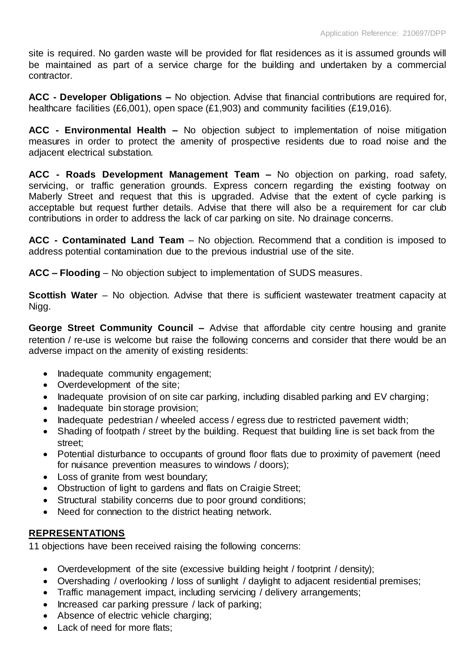site is required. No garden waste will be provided for flat residences as it is assumed grounds will be maintained as part of a service charge for the building and undertaken by a commercial contractor.

**ACC - Developer Obligations –** No objection. Advise that financial contributions are required for, healthcare facilities (£6,001), open space (£1,903) and community facilities (£19,016).

**ACC - Environmental Health –** No objection subject to implementation of noise mitigation measures in order to protect the amenity of prospective residents due to road noise and the adjacent electrical substation.

**ACC - Roads Development Management Team –** No objection on parking, road safety, servicing, or traffic generation grounds. Express concern regarding the existing footway on Maberly Street and request that this is upgraded. Advise that the extent of cycle parking is acceptable but request further details. Advise that there will also be a requirement for car club contributions in order to address the lack of car parking on site. No drainage concerns.

**ACC - Contaminated Land Team** – No objection. Recommend that a condition is imposed to address potential contamination due to the previous industrial use of the site.

**ACC – Flooding** – No objection subject to implementation of SUDS measures.

**Scottish Water** – No objection. Advise that there is sufficient wastewater treatment capacity at Nigg.

**George Street Community Council –** Advise that affordable city centre housing and granite retention / re-use is welcome but raise the following concerns and consider that there would be an adverse impact on the amenity of existing residents:

- Inadequate community engagement;
- Overdevelopment of the site;
- Inadequate provision of on site car parking, including disabled parking and EV charging;
- Inadequate bin storage provision;
- Inadequate pedestrian / wheeled access / egress due to restricted pavement width;
- Shading of footpath / street by the building. Request that building line is set back from the street;
- Potential disturbance to occupants of ground floor flats due to proximity of pavement (need for nuisance prevention measures to windows / doors);
- Loss of granite from west boundary;
- Obstruction of light to gardens and flats on Craigie Street;
- Structural stability concerns due to poor ground conditions;
- Need for connection to the district heating network.

## **REPRESENTATIONS**

11 objections have been received raising the following concerns:

- Overdevelopment of the site (excessive building height / footprint / density);
- Overshading / overlooking / loss of sunlight / daylight to adjacent residential premises;
- Traffic management impact, including servicing / delivery arrangements;
- Increased car parking pressure / lack of parking;
- Absence of electric vehicle charging;
- Lack of need for more flats: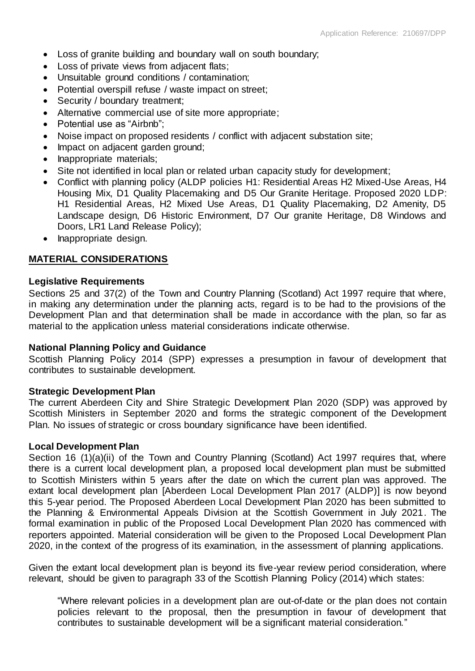- Loss of granite building and boundary wall on south boundary;
- Loss of private views from adjacent flats;
- Unsuitable ground conditions / contamination;
- Potential overspill refuse / waste impact on street;
- Security / boundary treatment;
- Alternative commercial use of site more appropriate;
- Potential use as "Airbnb";
- Noise impact on proposed residents / conflict with adjacent substation site;
- Impact on adjacent garden ground;
- Inappropriate materials:
- Site not identified in local plan or related urban capacity study for development;
- Conflict with planning policy (ALDP policies H1: Residential Areas H2 Mixed-Use Areas, H4 Housing Mix, D1 Quality Placemaking and D5 Our Granite Heritage. Proposed 2020 LDP: H1 Residential Areas, H2 Mixed Use Areas, D1 Quality Placemaking, D2 Amenity, D5 Landscape design, D6 Historic Environment, D7 Our granite Heritage, D8 Windows and Doors, LR1 Land Release Policy);
- Inappropriate design.

## **MATERIAL CONSIDERATIONS**

#### **Legislative Requirements**

Sections 25 and 37(2) of the Town and Country Planning (Scotland) Act 1997 require that where, in making any determination under the planning acts, regard is to be had to the provisions of the Development Plan and that determination shall be made in accordance with the plan, so far as material to the application unless material considerations indicate otherwise.

#### **National Planning Policy and Guidance**

Scottish Planning Policy 2014 (SPP) expresses a presumption in favour of development that contributes to sustainable development.

#### **Strategic Development Plan**

The current Aberdeen City and Shire Strategic Development Plan 2020 (SDP) was approved by Scottish Ministers in September 2020 and forms the strategic component of the Development Plan. No issues of strategic or cross boundary significance have been identified.

#### **Local Development Plan**

Section 16 (1)(a)(ii) of the Town and Country Planning (Scotland) Act 1997 requires that, where there is a current local development plan, a proposed local development plan must be submitted to Scottish Ministers within 5 years after the date on which the current plan was approved. The extant local development plan [Aberdeen Local Development Plan 2017 (ALDP)] is now beyond this 5-year period. The Proposed Aberdeen Local Development Plan 2020 has been submitted to the Planning & Environmental Appeals Division at the Scottish Government in July 2021. The formal examination in public of the Proposed Local Development Plan 2020 has commenced with reporters appointed. Material consideration will be given to the Proposed Local Development Plan 2020, in the context of the progress of its examination, in the assessment of planning applications.

Given the extant local development plan is beyond its five-year review period consideration, where relevant, should be given to paragraph 33 of the Scottish Planning Policy (2014) which states:

"Where relevant policies in a development plan are out-of-date or the plan does not contain policies relevant to the proposal, then the presumption in favour of development that contributes to sustainable development will be a significant material consideration."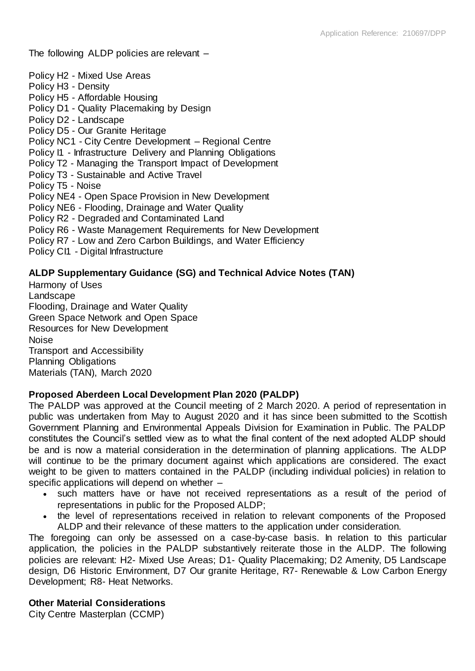The following ALDP policies are relevant –

Policy H2 - Mixed Use Areas Policy H3 - Density Policy H5 - Affordable Housing Policy D1 - Quality Placemaking by Design Policy D2 - Landscape Policy D5 - Our Granite Heritage Policy NC1 - City Centre Development – Regional Centre Policy I1 - Infrastructure Delivery and Planning Obligations Policy T2 - Managing the Transport Impact of Development Policy T3 - Sustainable and Active Travel Policy T5 - Noise Policy NE4 - Open Space Provision in New Development Policy NE6 - Flooding, Drainage and Water Quality Policy R2 - Degraded and Contaminated Land Policy R6 - Waste Management Requirements for New Development Policy R7 - Low and Zero Carbon Buildings, and Water Efficiency Policy CI1 - Digital Infrastructure

## **ALDP Supplementary Guidance (SG) and Technical Advice Notes (TAN)**

Harmony of Uses Landscape Flooding, Drainage and Water Quality Green Space Network and Open Space Resources for New Development Noise Transport and Accessibility Planning Obligations Materials (TAN), March 2020

## **Proposed Aberdeen Local Development Plan 2020 (PALDP)**

The PALDP was approved at the Council meeting of 2 March 2020. A period of representation in public was undertaken from May to August 2020 and it has since been submitted to the Scottish Government Planning and Environmental Appeals Division for Examination in Public. The PALDP constitutes the Council's settled view as to what the final content of the next adopted ALDP should be and is now a material consideration in the determination of planning applications. The ALDP will continue to be the primary document against which applications are considered. The exact weight to be given to matters contained in the PALDP (including individual policies) in relation to specific applications will depend on whether –

- such matters have or have not received representations as a result of the period of representations in public for the Proposed ALDP;
- the level of representations received in relation to relevant components of the Proposed ALDP and their relevance of these matters to the application under consideration.

The foregoing can only be assessed on a case-by-case basis. In relation to this particular application, the policies in the PALDP substantively reiterate those in the ALDP. The following policies are relevant: H2- Mixed Use Areas; D1- Quality Placemaking; D2 Amenity, D5 Landscape design, D6 Historic Environment, D7 Our granite Heritage, R7- Renewable & Low Carbon Energy Development; R8- Heat Networks.

## **Other Material Considerations**

City Centre Masterplan (CCMP)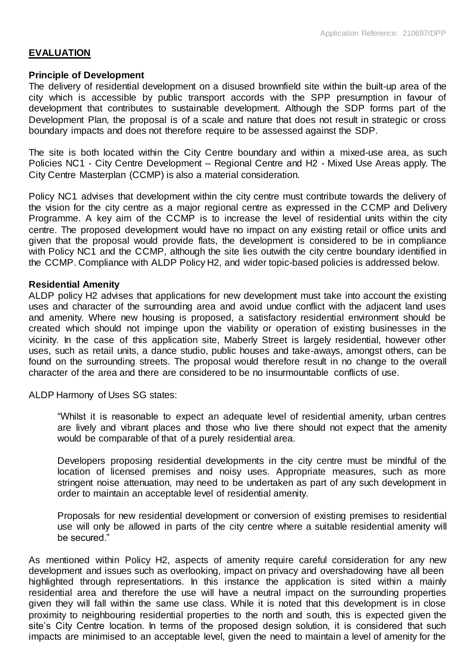## **EVALUATION**

#### **Principle of Development**

The delivery of residential development on a disused brownfield site within the built-up area of the city which is accessible by public transport accords with the SPP presumption in favour of development that contributes to sustainable development. Although the SDP forms part of the Development Plan, the proposal is of a scale and nature that does not result in strategic or cross boundary impacts and does not therefore require to be assessed against the SDP.

The site is both located within the City Centre boundary and within a mixed-use area, as such Policies NC1 - City Centre Development – Regional Centre and H2 - Mixed Use Areas apply. The City Centre Masterplan (CCMP) is also a material consideration.

Policy NC1 advises that development within the city centre must contribute towards the delivery of the vision for the city centre as a major regional centre as expressed in the CCMP and Delivery Programme. A key aim of the CCMP is to increase the level of residential units within the city centre. The proposed development would have no impact on any existing retail or office units and given that the proposal would provide flats, the development is considered to be in compliance with Policy NC1 and the CCMP, although the site lies outwith the city centre boundary identified in the CCMP. Compliance with ALDP Policy H2, and wider topic-based policies is addressed below.

#### **Residential Amenity**

ALDP policy H2 advises that applications for new development must take into account the existing uses and character of the surrounding area and avoid undue conflict with the adjacent land uses and amenity. Where new housing is proposed, a satisfactory residential environment should be created which should not impinge upon the viability or operation of existing businesses in the vicinity. In the case of this application site, Maberly Street is largely residential, however other uses, such as retail units, a dance studio, public houses and take-aways, amongst others, can be found on the surrounding streets. The proposal would therefore result in no change to the overall character of the area and there are considered to be no insurmountable conflicts of use.

ALDP Harmony of Uses SG states:

"Whilst it is reasonable to expect an adequate level of residential amenity, urban centres are lively and vibrant places and those who live there should not expect that the amenity would be comparable of that of a purely residential area.

Developers proposing residential developments in the city centre must be mindful of the location of licensed premises and noisy uses. Appropriate measures, such as more stringent noise attenuation, may need to be undertaken as part of any such development in order to maintain an acceptable level of residential amenity.

Proposals for new residential development or conversion of existing premises to residential use will only be allowed in parts of the city centre where a suitable residential amenity will be secured."

As mentioned within Policy H2, aspects of amenity require careful consideration for any new development and issues such as overlooking, impact on privacy and overshadowing have all been highlighted through representations. In this instance the application is sited within a mainly residential area and therefore the use will have a neutral impact on the surrounding properties given they will fall within the same use class. While it is noted that this development is in close proximity to neighbouring residential properties to the north and south, this is expected given the site's City Centre location. In terms of the proposed design solution, it is considered that such impacts are minimised to an acceptable level, given the need to maintain a level of amenity for the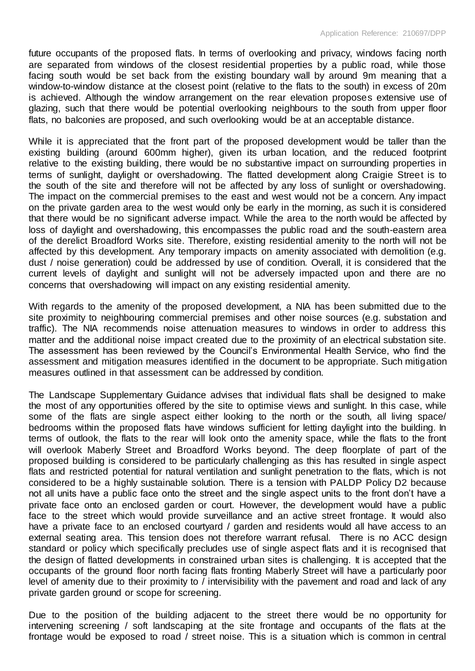future occupants of the proposed flats. In terms of overlooking and privacy, windows facing north are separated from windows of the closest residential properties by a public road, while those facing south would be set back from the existing boundary wall by around 9m meaning that a window-to-window distance at the closest point (relative to the flats to the south) in excess of 20m is achieved. Although the window arrangement on the rear elevation proposes extensive use of glazing, such that there would be potential overlooking neighbours to the south from upper floor flats, no balconies are proposed, and such overlooking would be at an acceptable distance.

While it is appreciated that the front part of the proposed development would be taller than the existing building (around 600mm higher), given its urban location, and the reduced footprint relative to the existing building, there would be no substantive impact on surrounding properties in terms of sunlight, daylight or overshadowing. The flatted development along Craigie Street is to the south of the site and therefore will not be affected by any loss of sunlight or overshadowing. The impact on the commercial premises to the east and west would not be a concern. Any impact on the private garden area to the west would only be early in the morning, as such it is considered that there would be no significant adverse impact. While the area to the north would be affected by loss of daylight and overshadowing, this encompasses the public road and the south-eastern area of the derelict Broadford Works site. Therefore, existing residential amenity to the north will not be affected by this development. Any temporary impacts on amenity associated with demolition (e.g. dust / noise generation) could be addressed by use of condition. Overall, it is considered that the current levels of daylight and sunlight will not be adversely impacted upon and there are no concerns that overshadowing will impact on any existing residential amenity.

With regards to the amenity of the proposed development, a NIA has been submitted due to the site proximity to neighbouring commercial premises and other noise sources (e.g. substation and traffic). The NIA recommends noise attenuation measures to windows in order to address this matter and the additional noise impact created due to the proximity of an electrical substation site. The assessment has been reviewed by the Council's Environmental Health Service, who find the assessment and mitigation measures identified in the document to be appropriate. Such mitigation measures outlined in that assessment can be addressed by condition.

The Landscape Supplementary Guidance advises that individual flats shall be designed to make the most of any opportunities offered by the site to optimise views and sunlight. In this case, while some of the flats are single aspect either looking to the north or the south, all living space/ bedrooms within the proposed flats have windows sufficient for letting daylight into the building. In terms of outlook, the flats to the rear will look onto the amenity space, while the flats to the front will overlook Maberly Street and Broadford Works beyond. The deep floorplate of part of the proposed building is considered to be particularly challenging as this has resulted in single aspect flats and restricted potential for natural ventilation and sunlight penetration to the flats, which is not considered to be a highly sustainable solution. There is a tension with PALDP Policy D2 because not all units have a public face onto the street and the single aspect units to the front don't have a private face onto an enclosed garden or court. However, the development would have a public face to the street which would provide surveillance and an active street frontage. It would also have a private face to an enclosed courtyard / garden and residents would all have access to an external seating area. This tension does not therefore warrant refusal. There is no ACC design standard or policy which specifically precludes use of single aspect flats and it is recognised that the design of flatted developments in constrained urban sites is challenging. It is accepted that the occupants of the ground floor north facing flats fronting Maberly Street will have a particularly poor level of amenity due to their proximity to / intervisibility with the pavement and road and lack of any private garden ground or scope for screening.

Due to the position of the building adjacent to the street there would be no opportunity for intervening screening / soft landscaping at the site frontage and occupants of the flats at the frontage would be exposed to road / street noise. This is a situation which is common in central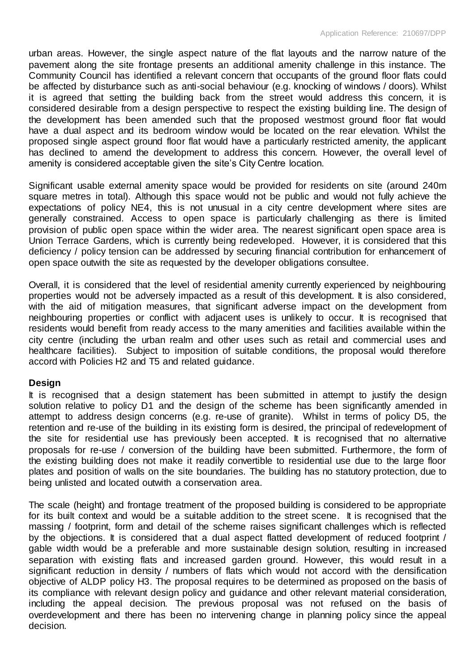urban areas. However, the single aspect nature of the flat layouts and the narrow nature of the pavement along the site frontage presents an additional amenity challenge in this instance. The Community Council has identified a relevant concern that occupants of the ground floor flats could be affected by disturbance such as anti-social behaviour (e.g. knocking of windows / doors). Whilst it is agreed that setting the building back from the street would address this concern, it is considered desirable from a design perspective to respect the existing building line. The design of the development has been amended such that the proposed westmost ground floor flat would have a dual aspect and its bedroom window would be located on the rear elevation. Whilst the proposed single aspect ground floor flat would have a particularly restricted amenity, the applicant has declined to amend the development to address this concern. However, the overall level of amenity is considered acceptable given the site's City Centre location.

Significant usable external amenity space would be provided for residents on site (around 240m square metres in total). Although this space would not be public and would not fully achieve the expectations of policy NE4, this is not unusual in a city centre development where sites are generally constrained. Access to open space is particularly challenging as there is limited provision of public open space within the wider area. The nearest significant open space area is Union Terrace Gardens, which is currently being redeveloped. However, it is considered that this deficiency / policy tension can be addressed by securing financial contribution for enhancement of open space outwith the site as requested by the developer obligations consultee.

Overall, it is considered that the level of residential amenity currently experienced by neighbouring properties would not be adversely impacted as a result of this development. It is also considered, with the aid of mitigation measures, that significant adverse impact on the development from neighbouring properties or conflict with adjacent uses is unlikely to occur. It is recognised that residents would benefit from ready access to the many amenities and facilities available within the city centre (including the urban realm and other uses such as retail and commercial uses and healthcare facilities). Subject to imposition of suitable conditions, the proposal would therefore accord with Policies H2 and T5 and related guidance.

#### **Design**

It is recognised that a design statement has been submitted in attempt to justify the design solution relative to policy D1 and the design of the scheme has been significantly amended in attempt to address design concerns (e.g. re-use of granite). Whilst in terms of policy D5, the retention and re-use of the building in its existing form is desired, the principal of redevelopment of the site for residential use has previously been accepted. It is recognised that no alternative proposals for re-use / conversion of the building have been submitted. Furthermore, the form of the existing building does not make it readily convertible to residential use due to the large floor plates and position of walls on the site boundaries. The building has no statutory protection, due to being unlisted and located outwith a conservation area.

The scale (height) and frontage treatment of the proposed building is considered to be appropriate for its built context and would be a suitable addition to the street scene. It is recognised that the massing / footprint, form and detail of the scheme raises significant challenges which is reflected by the objections. It is considered that a dual aspect flatted development of reduced footprint / gable width would be a preferable and more sustainable design solution, resulting in increased separation with existing flats and increased garden ground. However, this would result in a significant reduction in density / numbers of flats which would not accord with the densification objective of ALDP policy H3. The proposal requires to be determined as proposed on the basis of its compliance with relevant design policy and guidance and other relevant material consideration, including the appeal decision. The previous proposal was not refused on the basis of overdevelopment and there has been no intervening change in planning policy since the appeal decision.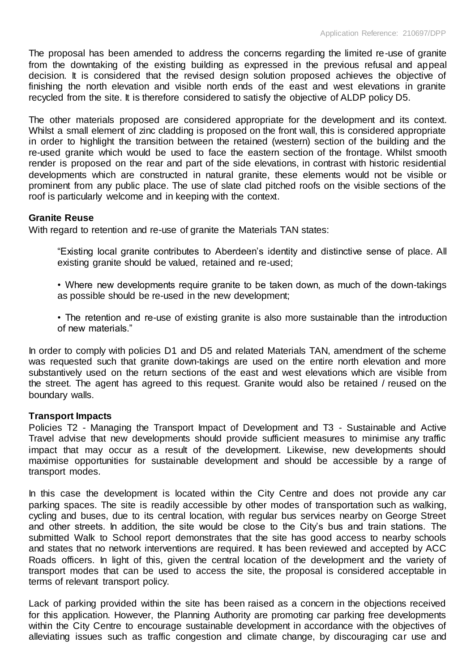The proposal has been amended to address the concerns regarding the limited re-use of granite from the downtaking of the existing building as expressed in the previous refusal and appeal decision. It is considered that the revised design solution proposed achieves the objective of finishing the north elevation and visible north ends of the east and west elevations in granite recycled from the site. It is therefore considered to satisfy the objective of ALDP policy D5.

The other materials proposed are considered appropriate for the development and its context. Whilst a small element of zinc cladding is proposed on the front wall, this is considered appropriate in order to highlight the transition between the retained (western) section of the building and the re-used granite which would be used to face the eastern section of the frontage. Whilst smooth render is proposed on the rear and part of the side elevations, in contrast with historic residential developments which are constructed in natural granite, these elements would not be visible or prominent from any public place. The use of slate clad pitched roofs on the visible sections of the roof is particularly welcome and in keeping with the context.

## **Granite Reuse**

With regard to retention and re-use of granite the Materials TAN states:

"Existing local granite contributes to Aberdeen's identity and distinctive sense of place. All existing granite should be valued, retained and re-used;

• Where new developments require granite to be taken down, as much of the down-takings as possible should be re-used in the new development;

• The retention and re-use of existing granite is also more sustainable than the introduction of new materials."

In order to comply with policies D1 and D5 and related Materials TAN, amendment of the scheme was requested such that granite down-takings are used on the entire north elevation and more substantively used on the return sections of the east and west elevations which are visible from the street. The agent has agreed to this request. Granite would also be retained / reused on the boundary walls.

#### **Transport Impacts**

Policies T2 - Managing the Transport Impact of Development and T3 - Sustainable and Active Travel advise that new developments should provide sufficient measures to minimise any traffic impact that may occur as a result of the development. Likewise, new developments should maximise opportunities for sustainable development and should be accessible by a range of transport modes.

In this case the development is located within the City Centre and does not provide any car parking spaces. The site is readily accessible by other modes of transportation such as walking, cycling and buses, due to its central location, with regular bus services nearby on George Street and other streets. In addition, the site would be close to the City's bus and train stations. The submitted Walk to School report demonstrates that the site has good access to nearby schools and states that no network interventions are required. It has been reviewed and accepted by ACC Roads officers. In light of this, given the central location of the development and the variety of transport modes that can be used to access the site, the proposal is considered acceptable in terms of relevant transport policy.

Lack of parking provided within the site has been raised as a concern in the objections received for this application. However, the Planning Authority are promoting car parking free developments within the City Centre to encourage sustainable development in accordance with the objectives of alleviating issues such as traffic congestion and climate change, by discouraging car use and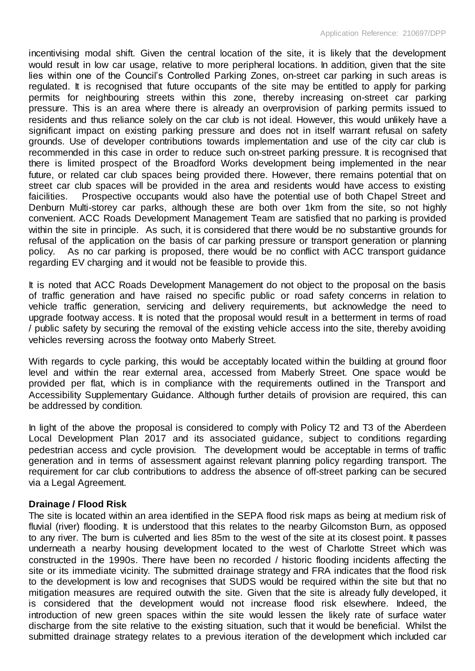incentivising modal shift. Given the central location of the site, it is likely that the development would result in low car usage, relative to more peripheral locations. In addition, given that the site lies within one of the Council's Controlled Parking Zones, on-street car parking in such areas is regulated. It is recognised that future occupants of the site may be entitled to apply for parking permits for neighbouring streets within this zone, thereby increasing on-street car parking pressure. This is an area where there is already an overprovision of parking permits issued to residents and thus reliance solely on the car club is not ideal. However, this would unlikely have a significant impact on existing parking pressure and does not in itself warrant refusal on safety grounds. Use of developer contributions towards implementation and use of the city car club is recommended in this case in order to reduce such on-street parking pressure. It is recognised that there is limited prospect of the Broadford Works development being implemented in the near future, or related car club spaces being provided there. However, there remains potential that on street car club spaces will be provided in the area and residents would have access to existing faicilities. Prospective occupants would also have the potential use of both Chapel Street and Denburn Multi-storey car parks, although these are both over 1km from the site, so not highly convenient. ACC Roads Development Management Team are satisfied that no parking is provided within the site in principle. As such, it is considered that there would be no substantive grounds for refusal of the application on the basis of car parking pressure or transport generation or planning policy. As no car parking is proposed, there would be no conflict with ACC transport guidance regarding EV charging and it would not be feasible to provide this.

It is noted that ACC Roads Development Management do not object to the proposal on the basis of traffic generation and have raised no specific public or road safety concerns in relation to vehicle traffic generation, servicing and delivery requirements, but acknowledge the need to upgrade footway access. It is noted that the proposal would result in a betterment in terms of road / public safety by securing the removal of the existing vehicle access into the site, thereby avoiding vehicles reversing across the footway onto Maberly Street.

With regards to cycle parking, this would be acceptably located within the building at ground floor level and within the rear external area, accessed from Maberly Street. One space would be provided per flat, which is in compliance with the requirements outlined in the Transport and Accessibility Supplementary Guidance. Although further details of provision are required, this can be addressed by condition.

In light of the above the proposal is considered to comply with Policy T2 and T3 of the Aberdeen Local Development Plan 2017 and its associated guidance, subject to conditions regarding pedestrian access and cycle provision. The development would be acceptable in terms of traffic generation and in terms of assessment against relevant planning policy regarding transport. The requirement for car club contributions to address the absence of off-street parking can be secured via a Legal Agreement.

## **Drainage / Flood Risk**

The site is located within an area identified in the SEPA flood risk maps as being at medium risk of fluvial (river) flooding. It is understood that this relates to the nearby Gilcomston Burn, as opposed to any river. The burn is culverted and lies 85m to the west of the site at its closest point. It passes underneath a nearby housing development located to the west of Charlotte Street which was constructed in the 1990s. There have been no recorded / historic flooding incidents affecting the site or its immediate vicinity. The submitted drainage strategy and FRA indicates that the flood risk to the development is low and recognises that SUDS would be required within the site but that no mitigation measures are required outwith the site. Given that the site is already fully developed, it is considered that the development would not increase flood risk elsewhere. Indeed, the introduction of new green spaces within the site would lessen the likely rate of surface water discharge from the site relative to the existing situation, such that it would be beneficial. Whilst the submitted drainage strategy relates to a previous iteration of the development which included car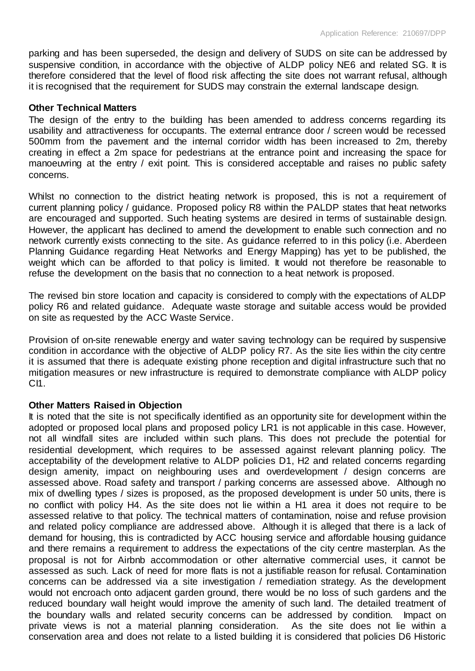parking and has been superseded, the design and delivery of SUDS on site can be addressed by suspensive condition, in accordance with the objective of ALDP policy NE6 and related SG. It is therefore considered that the level of flood risk affecting the site does not warrant refusal, although it is recognised that the requirement for SUDS may constrain the external landscape design.

#### **Other Technical Matters**

The design of the entry to the building has been amended to address concerns regarding its usability and attractiveness for occupants. The external entrance door / screen would be recessed 500mm from the pavement and the internal corridor width has been increased to 2m, thereby creating in effect a 2m space for pedestrians at the entrance point and increasing the space for manoeuvring at the entry / exit point. This is considered acceptable and raises no public safety concerns.

Whilst no connection to the district heating network is proposed, this is not a requirement of current planning policy / guidance. Proposed policy R8 within the PALDP states that heat networks are encouraged and supported. Such heating systems are desired in terms of sustainable design. However, the applicant has declined to amend the development to enable such connection and no network currently exists connecting to the site. As guidance referred to in this policy (i.e. Aberdeen Planning Guidance regarding Heat Networks and Energy Mapping) has yet to be published, the weight which can be afforded to that policy is limited. It would not therefore be reasonable to refuse the development on the basis that no connection to a heat network is proposed.

The revised bin store location and capacity is considered to comply with the expectations of ALDP policy R6 and related guidance. Adequate waste storage and suitable access would be provided on site as requested by the ACC Waste Service.

Provision of on-site renewable energy and water saving technology can be required by suspensive condition in accordance with the objective of ALDP policy R7. As the site lies within the city centre it is assumed that there is adequate existing phone reception and digital infrastructure such that no mitigation measures or new infrastructure is required to demonstrate compliance with ALDP policy CI1.

#### **Other Matters Raised in Objection**

It is noted that the site is not specifically identified as an opportunity site for development within the adopted or proposed local plans and proposed policy LR1 is not applicable in this case. However, not all windfall sites are included within such plans. This does not preclude the potential for residential development, which requires to be assessed against relevant planning policy. The acceptability of the development relative to ALDP policies D1, H2 and related concerns regarding design amenity, impact on neighbouring uses and overdevelopment / design concerns are assessed above. Road safety and transport / parking concerns are assessed above. Although no mix of dwelling types / sizes is proposed, as the proposed development is under 50 units, there is no conflict with policy H4. As the site does not lie within a H1 area it does not require to be assessed relative to that policy. The technical matters of contamination, noise and refuse provision and related policy compliance are addressed above. Although it is alleged that there is a lack of demand for housing, this is contradicted by ACC housing service and affordable housing guidance and there remains a requirement to address the expectations of the city centre masterplan. As the proposal is not for Airbnb accommodation or other alternative commercial uses, it cannot be assessed as such. Lack of need for more flats is not a justifiable reason for refusal. Contamination concerns can be addressed via a site investigation / remediation strategy. As the development would not encroach onto adjacent garden ground, there would be no loss of such gardens and the reduced boundary wall height would improve the amenity of such land. The detailed treatment of the boundary walls and related security concerns can be addressed by condition. Impact on private views is not a material planning consideration. As the site does not lie within a conservation area and does not relate to a listed building it is considered that policies D6 Historic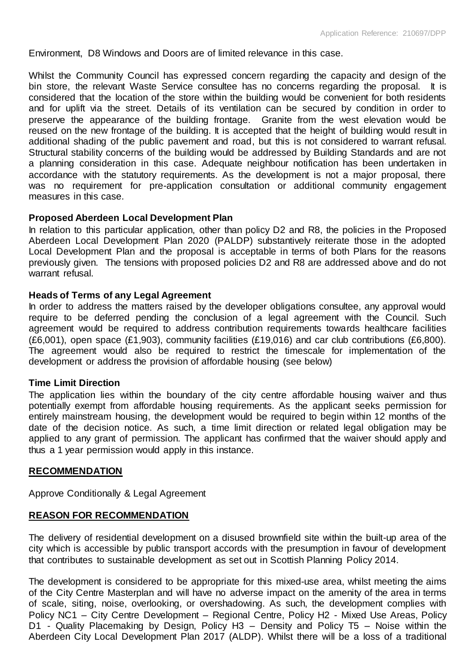Environment, D8 Windows and Doors are of limited relevance in this case.

Whilst the Community Council has expressed concern regarding the capacity and design of the bin store, the relevant Waste Service consultee has no concerns regarding the proposal. It is considered that the location of the store within the building would be convenient for both residents and for uplift via the street. Details of its ventilation can be secured by condition in order to preserve the appearance of the building frontage. Granite from the west elevation would be reused on the new frontage of the building. It is accepted that the height of building would result in additional shading of the public pavement and road, but this is not considered to warrant refusal. Structural stability concerns of the building would be addressed by Building Standards and are not a planning consideration in this case. Adequate neighbour notification has been undertaken in accordance with the statutory requirements. As the development is not a major proposal, there was no requirement for pre-application consultation or additional community engagement measures in this case.

#### **Proposed Aberdeen Local Development Plan**

In relation to this particular application, other than policy D2 and R8, the policies in the Proposed Aberdeen Local Development Plan 2020 (PALDP) substantively reiterate those in the adopted Local Development Plan and the proposal is acceptable in terms of both Plans for the reasons previously given. The tensions with proposed policies D2 and R8 are addressed above and do not warrant refusal.

#### **Heads of Terms of any Legal Agreement**

In order to address the matters raised by the developer obligations consultee, any approval would require to be deferred pending the conclusion of a legal agreement with the Council. Such agreement would be required to address contribution requirements towards healthcare facilities (£6,001), open space (£1,903), community facilities (£19,016) and car club contributions (£6,800). The agreement would also be required to restrict the timescale for implementation of the development or address the provision of affordable housing (see below)

#### **Time Limit Direction**

The application lies within the boundary of the city centre affordable housing waiver and thus potentially exempt from affordable housing requirements. As the applicant seeks permission for entirely mainstream housing, the development would be required to begin within 12 months of the date of the decision notice. As such, a time limit direction or related legal obligation may be applied to any grant of permission. The applicant has confirmed that the waiver should apply and thus a 1 year permission would apply in this instance.

#### **RECOMMENDATION**

Approve Conditionally & Legal Agreement

## **REASON FOR RECOMMENDATION**

The delivery of residential development on a disused brownfield site within the built-up area of the city which is accessible by public transport accords with the presumption in favour of development that contributes to sustainable development as set out in Scottish Planning Policy 2014.

The development is considered to be appropriate for this mixed-use area, whilst meeting the aims of the City Centre Masterplan and will have no adverse impact on the amenity of the area in terms of scale, siting, noise, overlooking, or overshadowing. As such, the development complies with Policy NC1 – City Centre Development – Regional Centre, Policy H2 - Mixed Use Areas, Policy D1 - Quality Placemaking by Design, Policy H3 - Density and Policy T5 - Noise within the Aberdeen City Local Development Plan 2017 (ALDP). Whilst there will be a loss of a traditional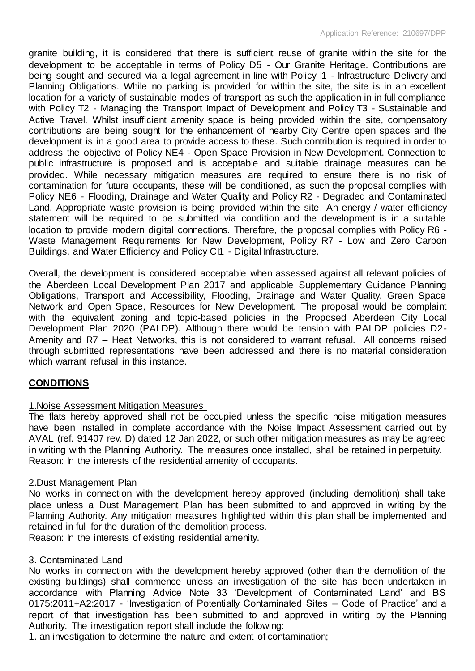granite building, it is considered that there is sufficient reuse of granite within the site for the development to be acceptable in terms of Policy D5 - Our Granite Heritage. Contributions are being sought and secured via a legal agreement in line with Policy I1 - Infrastructure Delivery and Planning Obligations. While no parking is provided for within the site, the site is in an excellent location for a variety of sustainable modes of transport as such the application in in full compliance with Policy T2 - Managing the Transport Impact of Development and Policy T3 - Sustainable and Active Travel. Whilst insufficient amenity space is being provided within the site, compensatory contributions are being sought for the enhancement of nearby City Centre open spaces and the development is in a good area to provide access to these. Such contribution is required in order to address the objective of Policy NE4 - Open Space Provision in New Development. Connection to public infrastructure is proposed and is acceptable and suitable drainage measures can be provided. While necessary mitigation measures are required to ensure there is no risk of contamination for future occupants, these will be conditioned, as such the proposal complies with Policy NE6 - Flooding, Drainage and Water Quality and Policy R2 - Degraded and Contaminated Land. Appropriate waste provision is being provided within the site. An energy / water efficiency statement will be required to be submitted via condition and the development is in a suitable location to provide modern digital connections. Therefore, the proposal complies with Policy R6 - Waste Management Requirements for New Development, Policy R7 - Low and Zero Carbon Buildings, and Water Efficiency and Policy CI1 - Digital Infrastructure.

Overall, the development is considered acceptable when assessed against all relevant policies of the Aberdeen Local Development Plan 2017 and applicable Supplementary Guidance Planning Obligations, Transport and Accessibility, Flooding, Drainage and Water Quality, Green Space Network and Open Space, Resources for New Development. The proposal would be complaint with the equivalent zoning and topic-based policies in the Proposed Aberdeen City Local Development Plan 2020 (PALDP). Although there would be tension with PALDP policies D2- Amenity and R7 – Heat Networks, this is not considered to warrant refusal. All concerns raised through submitted representations have been addressed and there is no material consideration which warrant refusal in this instance.

## **CONDITIONS**

## 1.Noise Assessment Mitigation Measures

The flats hereby approved shall not be occupied unless the specific noise mitigation measures have been installed in complete accordance with the Noise Impact Assessment carried out by AVAL (ref. 91407 rev. D) dated 12 Jan 2022, or such other mitigation measures as may be agreed in writing with the Planning Authority. The measures once installed, shall be retained in perpetuity. Reason: In the interests of the residential amenity of occupants.

## 2.Dust Management Plan

No works in connection with the development hereby approved (including demolition) shall take place unless a Dust Management Plan has been submitted to and approved in writing by the Planning Authority. Any mitigation measures highlighted within this plan shall be implemented and retained in full for the duration of the demolition process.

Reason: In the interests of existing residential amenity.

## 3. Contaminated Land

No works in connection with the development hereby approved (other than the demolition of the existing buildings) shall commence unless an investigation of the site has been undertaken in accordance with Planning Advice Note 33 'Development of Contaminated Land' and BS 0175:2011+A2:2017 - 'Investigation of Potentially Contaminated Sites – Code of Practice' and a report of that investigation has been submitted to and approved in writing by the Planning Authority. The investigation report shall include the following:

1. an investigation to determine the nature and extent of contamination;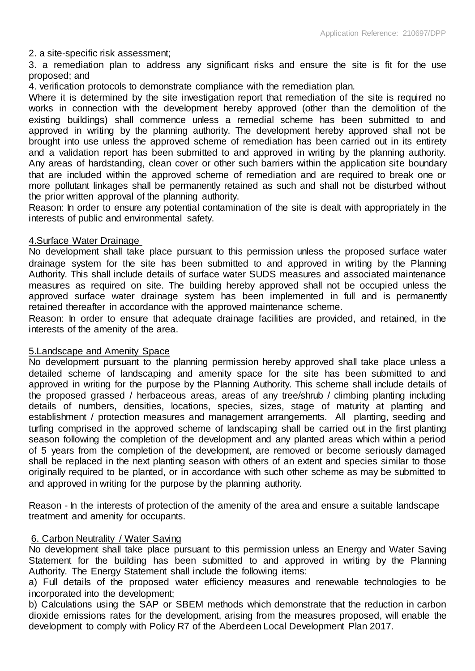2. a site-specific risk assessment;

3. a remediation plan to address any significant risks and ensure the site is fit for the use proposed; and

4. verification protocols to demonstrate compliance with the remediation plan.

Where it is determined by the site investigation report that remediation of the site is required no works in connection with the development hereby approved (other than the demolition of the existing buildings) shall commence unless a remedial scheme has been submitted to and approved in writing by the planning authority. The development hereby approved shall not be brought into use unless the approved scheme of remediation has been carried out in its entirety and a validation report has been submitted to and approved in writing by the planning authority. Any areas of hardstanding, clean cover or other such barriers within the application site boundary that are included within the approved scheme of remediation and are required to break one or more pollutant linkages shall be permanently retained as such and shall not be disturbed without the prior written approval of the planning authority.

Reason: In order to ensure any potential contamination of the site is dealt with appropriately in the interests of public and environmental safety.

## 4.Surface Water Drainage

No development shall take place pursuant to this permission unless the proposed surface water drainage system for the site has been submitted to and approved in writing by the Planning Authority. This shall include details of surface water SUDS measures and associated maintenance measures as required on site. The building hereby approved shall not be occupied unless the approved surface water drainage system has been implemented in full and is permanently retained thereafter in accordance with the approved maintenance scheme.

Reason: In order to ensure that adequate drainage facilities are provided, and retained, in the interests of the amenity of the area.

#### 5.Landscape and Amenity Space

No development pursuant to the planning permission hereby approved shall take place unless a detailed scheme of landscaping and amenity space for the site has been submitted to and approved in writing for the purpose by the Planning Authority. This scheme shall include details of the proposed grassed / herbaceous areas, areas of any tree/shrub / climbing planting including details of numbers, densities, locations, species, sizes, stage of maturity at planting and establishment / protection measures and management arrangements. All planting, seeding and turfing comprised in the approved scheme of landscaping shall be carried out in the first planting season following the completion of the development and any planted areas which within a period of 5 years from the completion of the development, are removed or become seriously damaged shall be replaced in the next planting season with others of an extent and species similar to those originally required to be planted, or in accordance with such other scheme as may be submitted to and approved in writing for the purpose by the planning authority.

Reason - In the interests of protection of the amenity of the area and ensure a suitable landscape treatment and amenity for occupants.

## 6. Carbon Neutrality / Water Saving

No development shall take place pursuant to this permission unless an Energy and Water Saving Statement for the building has been submitted to and approved in writing by the Planning Authority. The Energy Statement shall include the following items:

a) Full details of the proposed water efficiency measures and renewable technologies to be incorporated into the development;

b) Calculations using the SAP or SBEM methods which demonstrate that the reduction in carbon dioxide emissions rates for the development, arising from the measures proposed, will enable the development to comply with Policy R7 of the Aberdeen Local Development Plan 2017.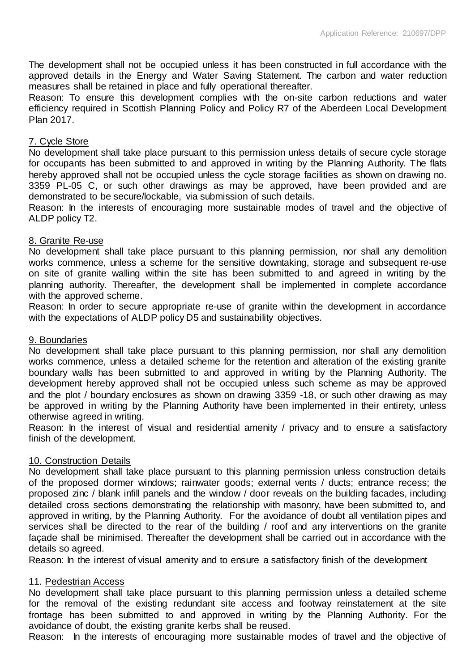The development shall not be occupied unless it has been constructed in full accordance with the approved details in the Energy and Water Saving Statement. The carbon and water reduction measures shall be retained in place and fully operational thereafter.

Reason: To ensure this development complies with the on-site carbon reductions and water efficiency required in Scottish Planning Policy and Policy R7 of the Aberdeen Local Development Plan 2017.

## 7. Cycle Store

No development shall take place pursuant to this permission unless details of secure cycle storage for occupants has been submitted to and approved in writing by the Planning Authority. The flats hereby approved shall not be occupied unless the cycle storage facilities as shown on drawing no. 3359 PL-05 C, or such other drawings as may be approved, have been provided and are demonstrated to be secure/lockable, via submission of such details.

Reason: In the interests of encouraging more sustainable modes of travel and the objective of ALDP policy T2.

## 8. Granite Re-use

No development shall take place pursuant to this planning permission, nor shall any demolition works commence, unless a scheme for the sensitive downtaking, storage and subsequent re-use on site of granite walling within the site has been submitted to and agreed in writing by the planning authority. Thereafter, the development shall be implemented in complete accordance with the approved scheme.

Reason: In order to secure appropriate re-use of granite within the development in accordance with the expectations of ALDP policy D5 and sustainability objectives.

### 9. Boundaries

No development shall take place pursuant to this planning permission, nor shall any demolition works commence, unless a detailed scheme for the retention and alteration of the existing granite boundary walls has been submitted to and approved in writing by the Planning Authority. The development hereby approved shall not be occupied unless such scheme as may be approved and the plot / boundary enclosures as shown on drawing 3359 -18, or such other drawing as may be approved in writing by the Planning Authority have been implemented in their entirety, unless otherwise agreed in writing.

Reason: In the interest of visual and residential amenity / privacy and to ensure a satisfactory finish of the development.

## 10. Construction Details

No development shall take place pursuant to this planning permission unless construction details of the proposed dormer windows; rainwater goods; external vents / ducts; entrance recess; the proposed zinc / blank infill panels and the window / door reveals on the building facades, including detailed cross sections demonstrating the relationship with masonry, have been submitted to, and approved in writing, by the Planning Authority. For the avoidance of doubt all ventilation pipes and services shall be directed to the rear of the building / roof and any interventions on the granite façade shall be minimised. Thereafter the development shall be carried out in accordance with the details so agreed.

Reason: In the interest of visual amenity and to ensure a satisfactory finish of the development

## 11. Pedestrian Access

No development shall take place pursuant to this planning permission unless a detailed scheme for the removal of the existing redundant site access and footway reinstatement at the site frontage has been submitted to and approved in writing by the Planning Authority. For the avoidance of doubt, the existing granite kerbs shall be reused.

Reason: In the interests of encouraging more sustainable modes of travel and the objective of